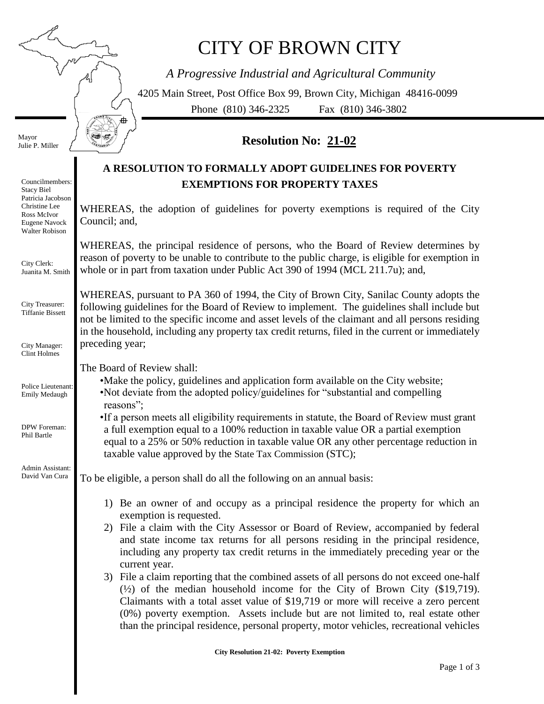舟

# CITY OF BROWN CITY

*A Progressive Industrial and Agricultural Community*

4205 Main Street, Post Office Box 99, Brown City, Michigan 48416-0099 Phone (810) 346-2325 Fax (810) 346-3802

Mayor Julie P. Miller

# Council; and, preceding year; The Board of Review shall: reasons"; exemption is requested. current year. Councilmembers: Stacy Biel Patricia Jacobson Christine Lee Ross McIvor Eugene Navock Walter Robison City Clerk: Juanita M. Smith City Treasurer: Tiffanie Bissett City Manager: Clint Holmes Police Lieutenant: Emily Medaugh DPW Foreman: Phil Bartle Admin Assistant: David Van Cura

## **Resolution No: 21-02**

### **A RESOLUTION TO FORMALLY ADOPT GUIDELINES FOR POVERTY EXEMPTIONS FOR PROPERTY TAXES**

WHEREAS, the adoption of guidelines for poverty exemptions is required of the City

WHEREAS, the principal residence of persons, who the Board of Review determines by reason of poverty to be unable to contribute to the public charge, is eligible for exemption in whole or in part from taxation under Public Act 390 of 1994 (MCL 211.7u); and,

WHEREAS, pursuant to PA 360 of 1994, the City of Brown City, Sanilac County adopts the following guidelines for the Board of Review to implement. The guidelines shall include but not be limited to the specific income and asset levels of the claimant and all persons residing in the household, including any property tax credit returns, filed in the current or immediately

•Make the policy, guidelines and application form available on the City website; •Not deviate from the adopted policy/guidelines for "substantial and compelling

•If a person meets all eligibility requirements in statute, the Board of Review must grant a full exemption equal to a 100% reduction in taxable value OR a partial exemption equal to a 25% or 50% reduction in taxable value OR any other percentage reduction in taxable value approved by the State Tax Commission (STC);

To be eligible, a person shall do all the following on an annual basis:

- 1) Be an owner of and occupy as a principal residence the property for which an
- 2) File a claim with the City Assessor or Board of Review, accompanied by federal and state income tax returns for all persons residing in the principal residence, including any property tax credit returns in the immediately preceding year or the
- 3) File a claim reporting that the combined assets of all persons do not exceed one-half (½) of the median household income for the City of Brown City (\$19,719). Claimants with a total asset value of \$19,719 or more will receive a zero percent (0%) poverty exemption. Assets include but are not limited to, real estate other than the principal residence, personal property, motor vehicles, recreational vehicles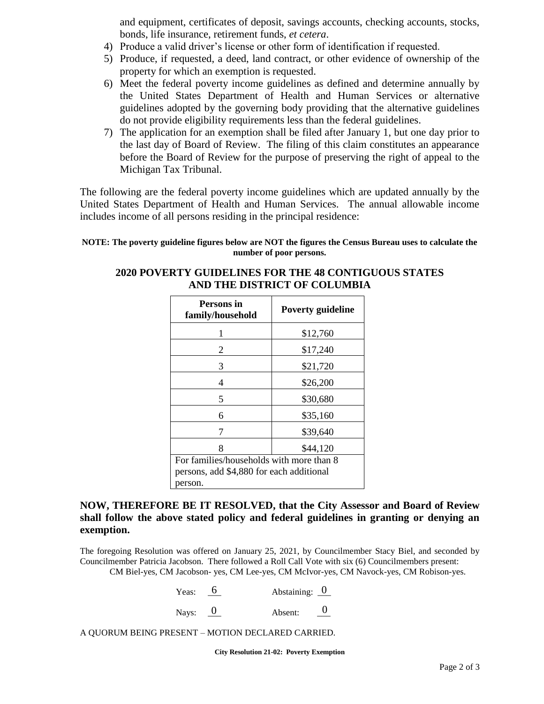and equipment, certificates of deposit, savings accounts, checking accounts, stocks, bonds, life insurance, retirement funds, *et cetera*.

- 4) Produce a valid driver's license or other form of identification if requested.
- 5) Produce, if requested, a deed, land contract, or other evidence of ownership of the property for which an exemption is requested.
- 6) Meet the federal poverty income guidelines as defined and determine annually by the United States Department of Health and Human Services or alternative guidelines adopted by the governing body providing that the alternative guidelines do not provide eligibility requirements less than the federal guidelines.
- 7) The application for an exemption shall be filed after January 1, but one day prior to the last day of Board of Review. The filing of this claim constitutes an appearance before the Board of Review for the purpose of preserving the right of appeal to the Michigan Tax Tribunal.

The following are the federal poverty income guidelines which are updated annually by the United States Department of Health and Human Services. The annual allowable income includes income of all persons residing in the principal residence:

#### **NOTE: The poverty guideline figures below are NOT the figures the Census Bureau uses to calculate the number of poor persons.**

## **2020 POVERTY GUIDELINES FOR THE 48 CONTIGUOUS STATES AND THE DISTRICT OF COLUMBIA**

| Persons in<br>family/household           | <b>Poverty guideline</b> |  |
|------------------------------------------|--------------------------|--|
|                                          | \$12,760                 |  |
| 2                                        | \$17,240                 |  |
| 3                                        | \$21,720                 |  |
| 4                                        | \$26,200                 |  |
| 5                                        | \$30,680                 |  |
| 6                                        | \$35,160                 |  |
|                                          | \$39,640                 |  |
| 8                                        | \$44,120                 |  |
| For families/households with more than 8 |                          |  |
| persons, add \$4,880 for each additional |                          |  |
| person.                                  |                          |  |

#### **NOW, THEREFORE BE IT RESOLVED, that the City Assessor and Board of Review shall follow the above stated policy and federal guidelines in granting or denying an exemption.**

The foregoing Resolution was offered on January 25, 2021, by Councilmember Stacy Biel, and seconded by Councilmember Patricia Jacobson. There followed a Roll Call Vote with six (6) Councilmembers present:

CM Biel-yes, CM Jacobson- yes, CM Lee-yes, CM McIvor-yes, CM Navock-yes, CM Robison-yes.

| Yeas: | Abstaining: $\overline{0}$ |  |
|-------|----------------------------|--|
|       |                            |  |

Nays:  $\overline{0}$  Absent:  $\overline{0}$  $\theta$ 

A QUORUM BEING PRESENT – MOTION DECLARED CARRIED.

**City Resolution 21-02: Poverty Exemption**